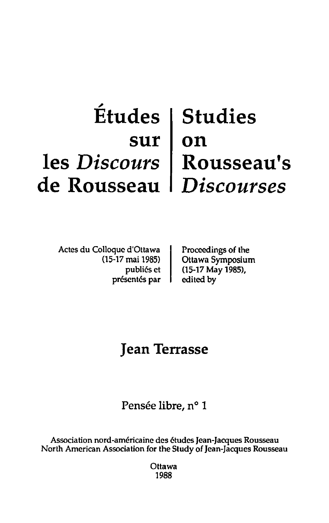# , **Etudes Studies sur on les** *Discours*  **Rousseau's de Rousseau**  *Discourses*

Actes du Colloque d'Ottawa (15-17 mai 1985) publiés et présentés par Proceedings of the Ottawa Symposium (15-17 May 1985), edited by

# **Jean Terrasse**

Pensée libre, n° 1

Association nord-américaine des études Jean-Jacques Rousseau North American Association for the Study of Jean-Jacques Rousseau

> **Ottawa** 1988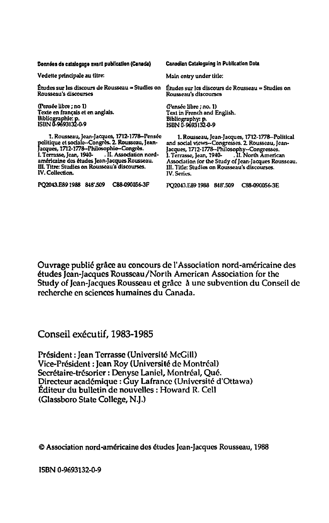Données de catalogage avant publication (Canada)

Vedette principale au titre:

Études sur les discours de Rousseau = Studies on l'Études sur les discours de Rousseau = Studies on Rousseau's discourses

(Pensee Ubre ; no 1) Texte en français et en anglais. Bibliogrnphle: p. ISDN 0-9693132-0-9

1. Rousseau, Jean-Jacques, 1712-1778—Pensée<br>politique et sociale--Congrès. 2. Rousseau, Jean-<br>Jacques, 1712-1778--Philosophie--Congrès. I. Terrasse, Jean, 1940- . II. Association nordamericaine des 6tudes Jean-Jacques Rousseau. III. Titre: Studies on Rousseau's discourses. IV. Collection.

PO2043.E891988 848'.509 C88-090056-3F

Canadian Cataloguing in Publication Data

Main entry under title:

(Pensee libre ; no. 1) Text in French and English. Bibliography: p.<br>ISBN 0-9693132-0-9

1. Rousseau, Jean-Jacques, 1712-1178-Polilical and social views-Congresses. 2. Rousseau, Jean-Jacques, 1712-1178-Philosophy--Congresses. I. Tertasse, Jean, 1940- .IL North American 1. Terrasse, Jean, 1940-<br>Association for the Study of Jean-Jacques Rousseau. III. Title: Studies on Rousseau's discourses. IV. Series.

PO2043.E89 1988 848'.509 C88-090056-3E

Ouvrage publié grâce au concours de l'Association nord-américaine des etudes Jean-Jacques Rousseau/North American Association for the Study of Jean-Jacques Rousseau et grace A une subvention du Conseil de recherche en sciences humaines du Canada,

Conseil exécutif, 1983-1985

Président : Jean Terrasse (Université McGill) Vice-President: Jean Roy (Universite de Montreal) Secrétaire-trésorier : Denyse Laniel, Montréal, Qué. Directeur académique : Guy Lafrance (Université d'Ottawa) Editeur du bulletin de nouvelles: Howard R. Cell (Glassboro State College, N,J,)

© Association nord-américaine des études Jean-Jacques Rousseau, 1988

ISBN 0-9693132-0-9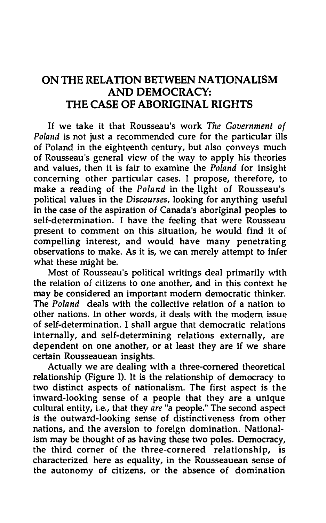## ON THE RELATION BETWEEN NATIONALISM AND DEMOCRACY: THE CASE OF ABORIGINAL RIGHTS

If we take it that Rousseau's work *The Government of Poland* is not just a recommended cure for the particular ills of Poland in the eighteenth century, but also conveys much of Rousseau's general view of the way to apply his theories and values, then it is fair to examine the *Poland* for insight concerning other particular cases. I propose, therefore, to make a reading of the *Poland* in the light of Rousseau's political values in the *Discourses,* looking for anything useful in the case of the aspiration of Canada's aboriginal peoples to self-determination. I have the feeling that were Rousseau present to comment on this situation, he would find it of compelling interest, and would have many penetrating observations to make. As it is, we can merely attempt to infer what these might be.

Most of Rousseau's political writings deal primarily with the relation of citizens to one another, and in this context he may be considered an important modem democratic thinker. The *Poland* deals with the collective relation of a nation to other nations. In other words, it deals with the modem issue of self-determination. I shall argue that democratic relations internally, and self-determining relations externally, are dependent on one another, or at least they are if we share certain Rousseauean insights.

Actually we are dealing with a three-cornered theoretical relationship (Figure 1). It is the relationship of democracy to two distinct aspects of nationalism. The first aspect is the inward-looking sense of a people that they are a unique cultural entity, i.e., that they *are* "a people." The second aspect is the outward-looking sense of distinctiveness from other nations, and the aversion to foreign domination. Nationalism may be thought of as having these two poles. Democracy, the third corner of the three-cornered relationship, is characterized here as equality, in the Rousseauean sense of the autonomy of citizens, or the absence of domination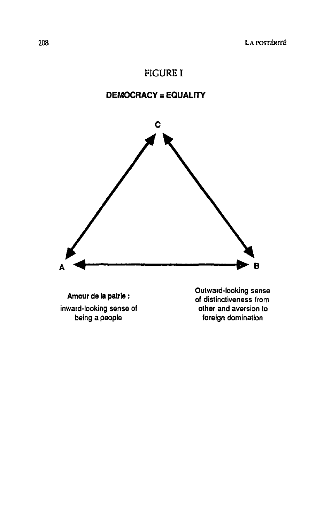### FIGURE I

#### DEMOCRACY = EQUALITY



Amour de la patrie : inward-looking sense of being a people

Outward-looking sense of distinctiveness from other and aversion to foreign domination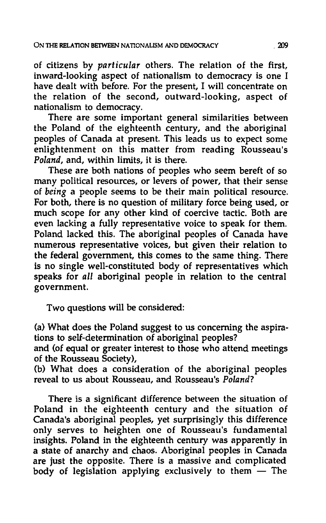of citizens by *particular* others. The relation of the first, inward-looking aspect of nationalism to democracy is one I have dealt with before. For the present, I will concentrate on the relation of the second, outward-looking, aspect of nationalism to democracy.

There are some important general similarities between the Poland of the eighteenth century, and the aboriginal peoples of Canada at present. This leads us to expect some enlightenment on this matter from reading Rousseau's *Poland,* and, within limits, it is there.

These are both nations of peoples who seem bereft of so many political resources, or levers of power, that their sense of *being* a people seems to be their main political resource. For both, there is no question of military force being used, or much scope for any other kind of coercive tactic. Both are even lacking a fully representative voice to speak for them. Poland lacked this. The aboriginal peoples of Canada have numerous representative voices, but given their relation to the federal government, this comes to the same thing. There is no single well-constituted body of representatives which speaks for *all* aboriginal people in relation to the central government.

Two questions will be considered:

(a) What does the Poland suggest to us concerning the aspirations to self-determination of aboriginal peoples?

and (of equal or greater interest to those who attend meetings of the Rousseau Society),

(b) What does a consideration of the aboriginal peoples reveal to us about Rousseau, and Rousseau's *Poland?* 

There is a significant difference between the situation of Poland in the eighteenth century and the situation of Canada's aboriginal peoples, yet surprisingly this difference only serves to heighten one of Rousseau's fundamental insights. Poland in the eighteenth century was apparently in a state of anarchy and chaos. Aboriginal peoples in Canada are just the opposite. There is a massive and complicated body of legislation applying exclusively to them  $-$  The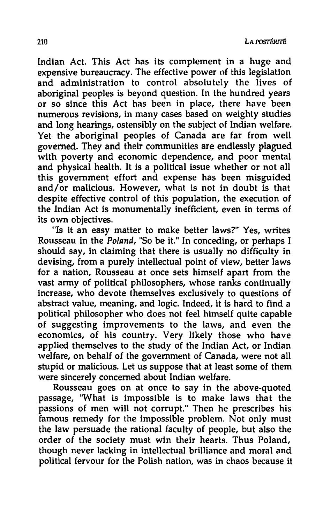Indian Act. This Act has its complement in a huge and expensive bureaucracy. The effective power of this legislation and administration to control absolutely the lives of aboriginal peoples is beyond question. In the hundred years or so since this Act has been in place, there have been numerous revisions, in many cases based on weighty studies and long hearings, ostensibly on the subject of Indian welfare. Yet the aboriginal peoples of Canada are far from well governed. They and their communities are endlessly plagued with poverty and economic dependence, and poor mental and physical health. It is a political issue whether or not all this government effort and expense has been misguided and/ or malicious. However, what is not in doubt is that despite effective control of this population, the execution of the Indian Act is monumentally inefficient, even in terms of its own objectives.

"Is it an easy matter to make better laws?" Yes, writes Rousseau in the *Poland,* "So be it." In conceding, or perhaps I should say, in claiming that there is usually no difficulty in devising, from a purely intellectual point of view, better laws for a nation, Rousseau at once sets himself apart from the vast army of political philosophers, whose ranks continually increase, who devote themselves exclusively to questions of abstract value, meaning, and logic. Indeed, it is hard to find a political philosopher who does not feel himself quite capable of suggesting improvements to the laws, and even the economics, of his country. Very likely those who have applied themselves to the study of the Indian Act, or Indian welfare, on behalf of the government of Canada, were not all stupid or malicious. Let us suppose that at least some of them were sincerely concerned about Indian welfare.

Rousseau goes on at once to say in the above-quoted passage, "What is impossible is to make laws that the passions of men will not corrupt." Then he prescribes his famous remedy for the impossible problem. Not only must the law persuade the rational faculty of people, but also the order of the society must win their hearts. Thus Poland, though never lacking in intellectual brilliance and moral and political fervour for the Polish nation, was in chaos because it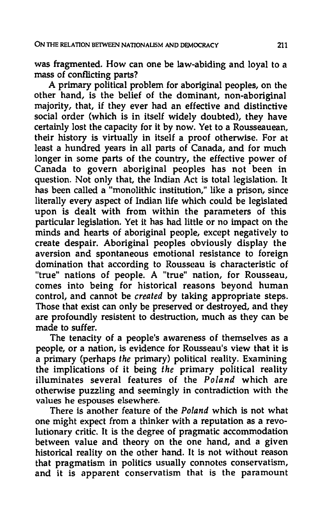was fragmented. How can one be law-abiding and loyal to a mass of conflicting parts?

A primary political problem for aboriginal peoples, on the other hand, is the belief of the dominant, non-aboriginal majority, that, if they ever had an effective and distinctive social order (which is in itself widely doubted), they have certainly lost the capacity for it by now. Yet to a Rousseauean, their history is virtually in itself a proof otherwise. For at least a hundred years in all parts of Canada, and for much longer in some parts of the country, the effective power of Canada to govern aboriginal peoples has not been in question. Not only that, the Indian Act is total legislation. It has been called a "monolithic institution," like a prison, since literally every aspect of Indian life which could be legislated upon is dealt with from within the parameters of this particular legislation. Yet it has had little or no impact on the minds and hearts of aboriginal people, except negatively to create despair. Aboriginal peoples obviously display the aversion and spontaneous emotional resistance to foreign domination that according to Rousseau is characteristic of "true" nations of people. A "true" nation, for Rousseau, comes into being for historical reasons beyond human control, and cannot be *created* by taking appropriate steps. Those that exist can only be preserved or destroyed, and they are profoundly resistent to destruction, much as they can be made to suffer.

The tenacity of a people's awareness of themselves as a people, or a nation, is evidence for Rousseau's view that it is a primary (perhaps *the* primary) political reality. Examining the implications of it being *the* primary political reality illuminates several features of the *Poland* which are otherwise puzzling and seemingly in contradiction with the values he espouses elsewhere.

There is another feature of the *Poland* which is not what one might expect from a thinker with a reputation as a revolutionary critic. It is the degree of pragmatic accommodation between value and theory on the one hand, and a given historical reality on the other hand. It is not without reason that pragmatism in politics usually connotes conservatism, and it is apparent conservatism that is the paramount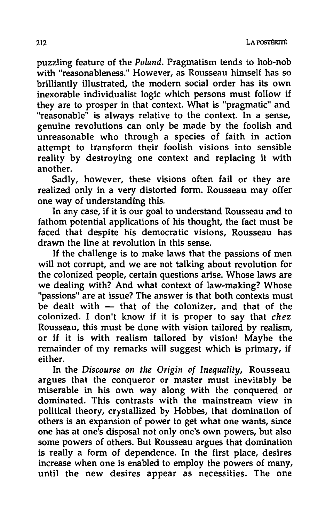puzzling feature of the *Poland.* Pragmatism tends to hob-nob with "reasonableness." However, as Rousseau himself has so brilliantly illustrated, the modem social order has its own inexorable individualist logic which persons must follow if they are to prosper in that context. What is "pragmatic" and "reasonable" is always relative to the context. In a sense, genuine revolutions can only be made by the foolish and unreasonable who through a species of faith in action attempt to transform their foolish visions into sensible reality by destroying one context and replacing it with another.

Sadly, however, these visions often fail or they are realized only in a very distorted form. Rousseau may offer one way of understanding this.

In any case, if it is our goal to understand Rousseau and to fathom potential applications of his thought, the fact must be faced that despite his democratic visions, Rousseau has drawn the line at revolution in this sense.

If the challenge is to make laws that the passions of men will not corrupt, and we are not talking about revolution for the colonized people, certain questions arise. Whose laws are we dealing with? And what context of law-making? Whose "passions" are at issue? The answer is that both contexts must be dealt with  $-$  that of the colonizer, and that of the colonized. I don't know if it is proper to say that *chez*  Rousseau, this must be done with vision tailored by realism, or if it is with realism tailored by vision! Maybe the remainder of my remarks will suggest which is primary, if either.

In the *Discourse on the Origin of Inequality,* Rousseau argues that the conqueror or master must inevitably be miserable in his own way along with the conquered or dominated. This contrasts with the mainstream view in political theory, crystallized by Hobbes, that domination of others is an expansion of power to get what one wants, since one has at one's disposal not only one's own powers, but also some powers of others. But Rousseau argues that domination is really a form of dependence. In the first place, desires increase when one is enabled to employ the powers of many, until the new desires appear as necessities. The one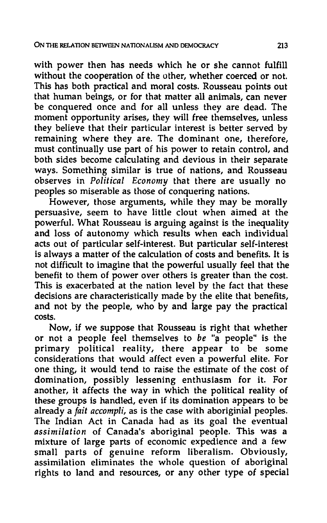with power then has needs which he or she cannot fulfill without the cooperation of the other, whether coerced or not. This has both practical and moral costs. Rousseau points out that human beings, or for that matter all animals, can never be conquered once and for all unless they are dead. The moment opportunity arises, they will free themselves, unless they believe that their particular interest is better served by remaining where they are. The dominant one, therefore, must continually use part of his power to retain control, and both sides become calculating and devious in their separate ways. Something similar is true of nations, and Rousseau observes in *Political Economy* that there are usually no peoples so miserable as those of conquering nations.

However, those arguments, while they may be morally persuasive, seem to have little clout when aimed at the powerful. What Rousseau is arguing against is the inequality and loss of autonomy which results when each individual acts out of particular self-interest. But particular self-interest is always a matter of the calculation of costs and benefits. It is not difficult to imagine that the powerful usually feel that the benefit to them of power over others is greater than the cost. This is exacerbated at the nation level by the fact that these decisions are characteristically made by the elite that benefits, and not by the people, who by and large pay the practical costs.

Now, if we suppose that Rousseau is right that whether or not a people feel themselves to *be* "a people" is the primary political reality, there appear to be some considerations that would affect even a powerful elite. For one thing, it would tend to raise the estimate of the cost of domination, possibly lessening enthusiasm for it. For another, it affects the way in which the political reality of these groups is handled, even if its domination appears to be already a *fait accompli,* as is the case with aboriginial peoples. The Indian Act in Canada had as its goal the eventual *assimilation* of Canada's aboriginal people. This was a mixture of large parts of economic expedience and a few small parts of genuine reform liberalism. Obviously, assimilation eliminates the whole question of aboriginal rights to land and resources, or any other type of special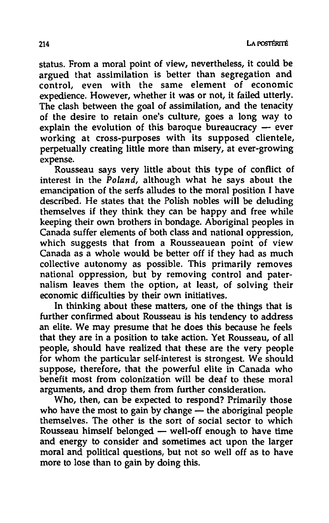status. From a moral point of view, nevertheless, it could be argued that assimilation is better than segregation and control, even with the same element of economic expedience. However, whether it was or not, it failed utterly. The clash between the goal of assimilation, and the tenacity of the desire to retain one's culture, goes a long way to explain the evolution of this baroque bureaucracy  $-$  ever working at cross-purposes with its supposed clientele, perpetually creating little more than misery, at ever-growing expense.

Rousseau says very little about this type of conflict of interest in the *Poland,* although what he says about the emancipation of the serfs alludes to the moral position I have described. He states that the Polish nobles will be deluding themselves if they think they can be happy and free while keeping their own brothers in bondage. Aboriginal peoples in Canada suffer elements of both class and national oppression, which suggests that from a Rousseauean point of view Canada as a whole would be better off if they had as much collective autonomy as possible. This primarily removes national oppression, but by removing control and paternalism leaves them the option, at least, of solving their economic difficulties by their own initiatives.

In thinking about these matters, one of the things that is further confirmed about Rousseau is his tendency to address an elite. We may presume that he does this because he feels that they are in a position to take action. Yet Rousseau, of all people, should have realized that these are the very people for whom the particular self-interest is strongest. We should suppose, therefore, that the powerful elite in Canada who benefit most from colonization will be deaf to these moral arguments, and drop them from further consideration.

Who, then, can be expected to respond? Primarily those who have the most to gain by change  $-$  the aboriginal people themselves. The other is the sort of social sector to which Rousseau himself belonged - well-off enough to have time and energy to consider and sometimes act upon the larger moral and political questions, but not so well off as to have more to lose than to gain by doing this.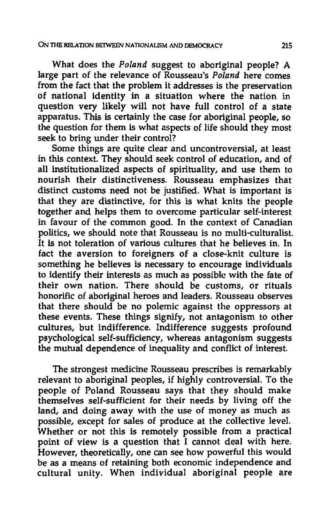What does the *Poland* suggest to aboriginal people? A large part of the relevance of Rousseau's *Poland* here comes from the fact that the problem it addresses is the preservation of national identity in a situation where the nation in question very likely will not have full control of a state apparatus. This is certainly the case for aboriginal people, so the question for them is what aspects of life should they most seek to bring under their control?

Some things are quite clear and uncontroversial, at least in this context. They should seek control of education, and of all institutionalized aspects of spirituality, and use them to nourish their distinctiveness. Rousseau emphasizes that distinct customs need not be justified. What is important is that they are distinctive, for this is what knits the people together and helps them to overcome particular self-interest in favour of the common good. In the context of Canadian politics, we should note that Rousseau is no multi-culturalist. It is not toleration of various cultures that he believes in. In fact the aversion to foreigners of a close-knit culture is something he believes is necessary to encourage individuals to identify their interests as much as possible with the fate of their own nation. There should be customs, or rituals honorific of aboriginal heroes and leaders. Rousseau observes that there should be no polemic against the oppressors at these events. These things signify, not antagonism to other cultures, but indifference. Indifference suggests profound psychological self-sufficiency, whereas antagonism suggests the mutual dependence of inequality and conflict of interest.

The strongest medicine Rousseau prescribes is remarkably relevant to aboriginal peoples, if highly controversial. To the people of Poland Rousseau says that they should make themselves self-sufficient for their needs by living off the land, and doing away with the use of money as much as possible, except for sales of produce at the collective level. Whether or not this is remotely possible from a practical point of view is a question that I cannot deal with here. However, theoretically, one can see how powerful this would be as a means of retaining both economic independence and cultural unity. When individual aboriginal people are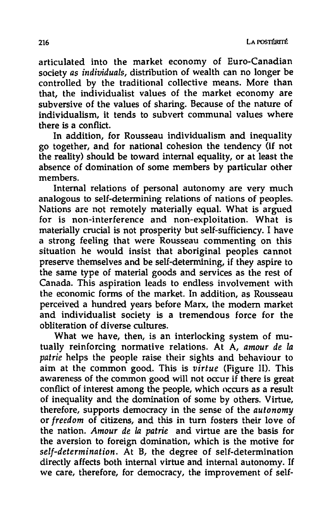articulated into the market economy of Euro-Canadian sOciety *as individuals,* distribution of wealth can no longer be controlled by the traditional collective means. More than that, the individualist values of the market economy are subversive of the values of sharing. Because of the nature of individualism, it tends to subvert communal values where there is a conflict.

In addition, for Rousseau individualism and inequality go together, and for national cohesion the tendency (if not the reality) should be toward internal equality, or at least the absence of domination of some members by particular other members.

Internal relations of personal autonomy are very much analogous to self-detennining relations of nations of peoples. Nations are not remotely materially equal. What is argued for is non-interference and non-exploitation. What is materially crucial is not prosperity but self-sufficiency. I have a strong feeling that were Rousseau commenting on this situation he would insist that aboriginal peoples cannot preserve themselves and be self-determining, if they aspire to the same type of material goods and services as the rest of Canada. This aspiration leads to endless involvement with the economic forms of the market. In addition, as Rousseau perceived a hundred years before Marx, the modern market and individualist society is a tremendous force for the obliteration of diverse cultures.

What we have, then, is an interlocking system of mutually reinforcing normative relations. At A, *amour de la patrie* helps the people raise their sights and behaviour to aim at the common good. This is *virtue* (Figure II). This awareness of the common good will not occur if there is great conflict of interest among the people, which occurs as a result of inequality and the domination of some by others. Virtue, therefore, supports democracy in the sense of the *autonomy*  or *freedom* of citizens, and this in turn fosters their love of the nation. Amour de la patrie and virtue are the basis for the aversion to foreign domination, which is the motive for *self-determination.* At B, the degree of self-determination directly affects both internal virtue and internal autonomy. If we care, therefore, for democracy, the improvement of self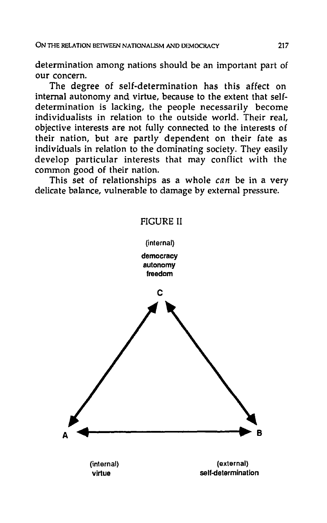determination among nations should be an important part of our concern.

The degree of self-determination has this affect on internal autonomy and virtue, because to the extent that selfdetermination is lacking, the people necessarily become individualists in relation to the outside world. Their real, objective interests are not fully connected to the interests of their nation, but are partly dependent on their fate as individuals in relation to the dominating society. They easily develop particular interests that may conflict with the common good of their nation.

This set of relationships as a whole *can* be in a very delicate balance, vulnerable to damage by external pressure.

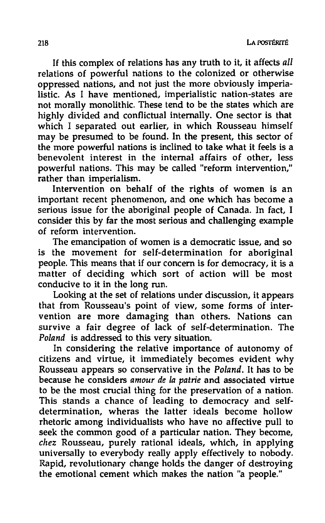If this complex of relations has any truth to it, it affects *all*  relations of powerful nations to the colonized or otherwise oppressed nations, and not just the more obviously imperialistic. As I have mentioned, imperialistic nation-states are not morally monolithic. These tend to be the states which are highly divided and conflictual internally. One sector is that which I separated out earlier, in which Rousseau himself may be presumed to be found. In the present, this sector of the more powerful nations is inclined to take what it feels is a benevolent interest in the internal affairs of other, less powerful nations. This may be called "reform intervention," rather than imperialism.

Intervention on behalf of the rights of women is an important recent phenomenon, and one which has become a serious issue for the aboriginal people of Canada. In fact, I consider this by far the most serious and challenging example of reform intervention.

The emancipation of women is a democratic issue, and so is the movement for self-determination for aboriginal people. This means that if our concern is for democracy, it is a matter of deciding which sort of action will be most conducive to it in the long run.

Looking at the set of relations under discussion, it appears that from Rousseau's point of view, some forms of intervention are more damaging than others. Nations can survive a fair degree of lack of self-determination. The *Poland* is addressed to this very situation.

In considering the relative importance of autonomy of citizens and virtue, it immediately becomes evident why Rousseau appears so conservative in the *Poland.* It has to be because he considers *amour de* fa *patrie* and associated virtue to be the most crucial thing for the preservation of a nation. This stands a chance of leading to democracy and selfdetermination, wheras the latter ideals become hollow rhetoric among individualists who have no affective pull to seek the common good of a particular nation. They become, *chez* Rousseau, purely rational ideals, which, in applying universally to everybody really apply effectively to nobody. Rapid, revolutionary change holds the danger of destroying the emotional cement which makes the nation "a people."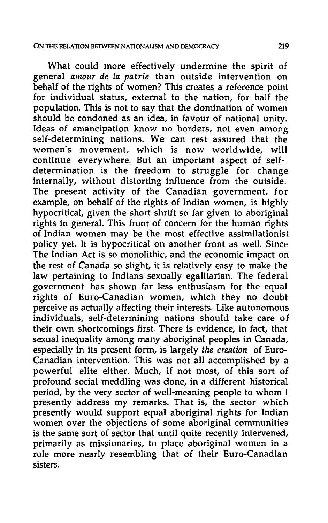What could more effectively undermine the spirit of general *amour de la patrie* than outside intervention on behalf of the rights of women? This creates a reference point for individual status, external to the nation, for half the population. This is not to say that the domination of women should be condoned as an idea, in favour of national unity. Ideas of emancipation know no borders, not even among self-determining nations. We can rest assured that the women's movement, which is now worldwide, will continue everywhere. But an important aspect of selfdetermination is the freedom to struggle for change internally, without distorting influence from the outside. The present activity of the Canadian government, for example, on behalf of the rights of Indian women, is highly hypocritical, given the short shrift so far given to aboriginal rights in general. This front of concern for the human rights of Indian women may be the most effective assimilationist policy yet. It is hypocritical on another front as well. Since The Indian Act is so monolithic, and the economic impact on the rest of Canada so slight, it is relatively easy to make the law pertaining to Indians sexually egalitarian. The federal government has shown far less enthusiasm for the equal rights of Euro-Canadian women, which they no doubt perceive as actually affecting their interests. Like autonomous individuals, self-determining nations should take care of their own shortcomings first. There is evidence, in fact, that sexual inequality among many aboriginal peoples in Canada, especially in its present form, is largely *the creation* of Euro-Canadian intervention. This was not all accomplished by a powerful elite either. Much, if not most, of this sort of profound social meddling was done, in a different historical period, by the very sector of well-meaning people to whom I presently address my remarks. That is, the sector which presently would support equal aboriginal rights for Indian women over the objections of some aboriginal communities is the same sort of sector that until quite recently intervened, primarily as missionaries, to place aboriginal women in a role more nearly resembling that of their Euro-Canadian sisters.